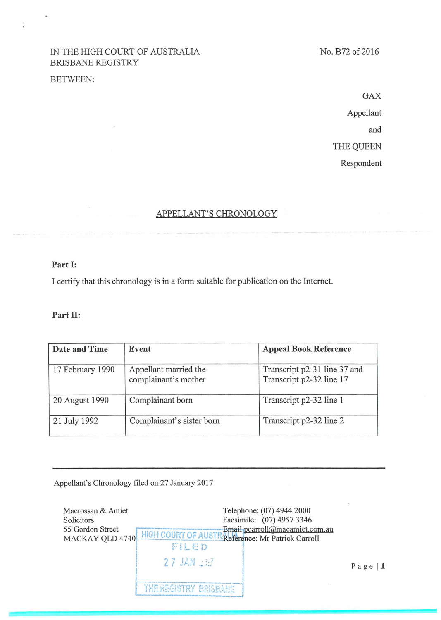## IN THE HIGH COURT OF AUSTRALIA BRISBANE REGISTRY

### **BETWEEN:**

 $\overline{\mathbf{z}}$ 

÷.

**GAX** Appellant and THE QUEEN Respondent

# APPELLANT'S CHRONOLOGY

### Part I:

I certify that this chronology is in a form suitable for publication on the Internet.

#### Part II:

| Date and Time    | Event                                         | <b>Appeal Book Reference</b>                             |
|------------------|-----------------------------------------------|----------------------------------------------------------|
| 17 February 1990 | Appellant married the<br>complainant's mother | Transcript p2-31 line 37 and<br>Transcript p2-32 line 17 |
| 20 August 1990   | Complainant born                              | Transcript p2-32 line 1                                  |
| 21 July 1992     | Complainant's sister born                     | Transcript p2-32 line 2                                  |

Appellant's Chronology filed on 27 January 2017

| Macrossan & Amiet<br>Solicitors<br>55 Gordon Street<br>MACKAY QLD 4740 | Telephone: (07) 4944 2000<br>Facsimile: (07) 4957 3346<br>Email pcarroll@macamiet.com.au<br>HIGH COURT OF AUSTR Reference: Mr Patrick Carroll<br>FILED |           |
|------------------------------------------------------------------------|--------------------------------------------------------------------------------------------------------------------------------------------------------|-----------|
|                                                                        | $27$ JAN $\pm 1.7$<br><b>THE REGISTRY BRISBANE</b>                                                                                                     | Page $ 1$ |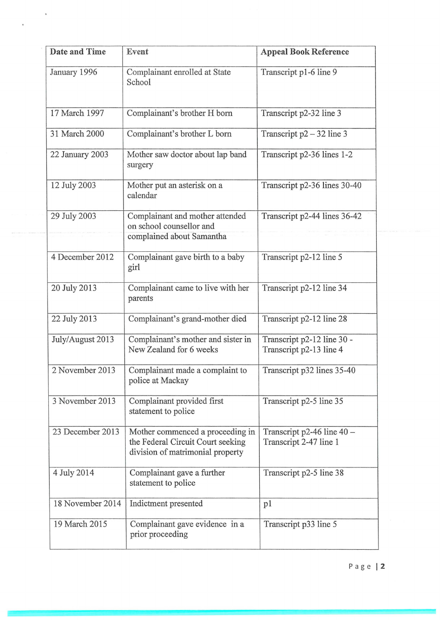| Date and Time    | Event                                                                                                     | <b>Appeal Book Reference</b>                           |
|------------------|-----------------------------------------------------------------------------------------------------------|--------------------------------------------------------|
| January 1996     | Complainant enrolled at State<br>School                                                                   | Transcript p1-6 line 9                                 |
| 17 March 1997    | Complainant's brother H born                                                                              | Transcript p2-32 line 3                                |
| 31 March 2000    | Complainant's brother L born                                                                              | Transcript $p2 - 32$ line 3                            |
| 22 January 2003  | Mother saw doctor about lap band<br>surgery                                                               | Transcript p2-36 lines 1-2                             |
| 12 July 2003     | Mother put an asterisk on a<br>calendar                                                                   | Transcript p2-36 lines 30-40                           |
| 29 July 2003     | Complainant and mother attended<br>on school counsellor and<br>complained about Samantha                  | Transcript p2-44 lines 36-42                           |
| 4 December 2012  | Complainant gave birth to a baby<br>girl                                                                  | Transcript p2-12 line 5                                |
| 20 July 2013     | Complainant came to live with her<br>parents                                                              | Transcript p2-12 line 34                               |
| 22 July 2013     | Complainant's grand-mother died                                                                           | Transcript p2-12 line 28                               |
| July/August 2013 | Complainant's mother and sister in<br>New Zealand for 6 weeks                                             | Transcript p2-12 line 30 -<br>Transcript p2-13 line 4  |
| 2 November 2013  | Complainant made a complaint to<br>police at Mackay                                                       | Transcript p32 lines 35-40                             |
| 3 November 2013  | Complainant provided first<br>statement to police                                                         | Transcript p2-5 line 35                                |
| 23 December 2013 | Mother commenced a proceeding in<br>the Federal Circuit Court seeking<br>division of matrimonial property | Transcript p2-46 line $40 -$<br>Transcript 2-47 line 1 |
| 4 July 2014      | Complainant gave a further<br>statement to police                                                         | Transcript p2-5 line 38                                |
| 18 November 2014 | Indictment presented                                                                                      | p1                                                     |
| 19 March 2015    | Complainant gave evidence in a<br>prior proceeding                                                        | Transcript p33 line 5                                  |

 $\overline{\mathbf{S}}$ 

 $\sim$ 

 $\ddot{\phantom{0}}$